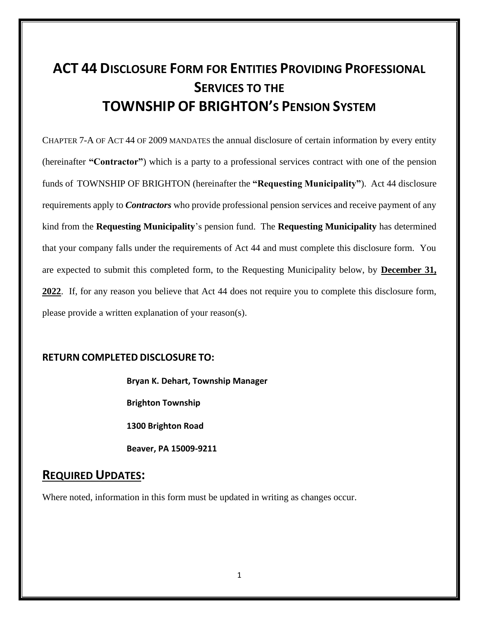# **ACT 44 DISCLOSURE FORM FOR ENTITIES PROVIDING PROFESSIONAL SERVICES TO THE TOWNSHIP OF BRIGHTON'S PENSION SYSTEM**

CHAPTER 7-A OF ACT 44 OF 2009 MANDATES the annual disclosure of certain information by every entity (hereinafter **"Contractor"**) which is a party to a professional services contract with one of the pension funds of TOWNSHIP OF BRIGHTON (hereinafter the **"Requesting Municipality"**). Act 44 disclosure requirements apply to *Contractors* who provide professional pension services and receive payment of any kind from the **Requesting Municipality**'s pension fund. The **Requesting Municipality** has determined that your company falls under the requirements of Act 44 and must complete this disclosure form. You are expected to submit this completed form, to the Requesting Municipality below, by **December 31, 2022**. If, for any reason you believe that Act 44 does not require you to complete this disclosure form, please provide a written explanation of your reason(s).

#### **RETURN COMPLETED DISCLOSURE TO:**

**Bryan K. Dehart, Township Manager**

**Brighton Township**

**1300 Brighton Road**

**Beaver, PA 15009-9211**

### **REQUIRED UPDATES:**

Where noted, information in this form must be updated in writing as changes occur.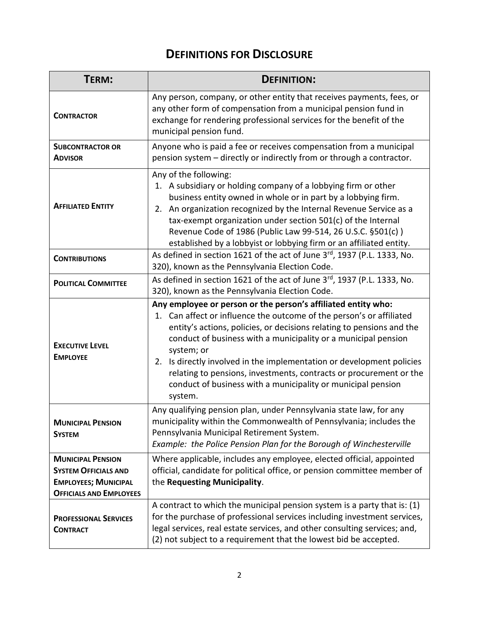## **DEFINITIONS FOR DISCLOSURE**

| TERM:                                                                                                                    | <b>DEFINITION:</b>                                                                                                                                                                                                                                                                                                                                                                                                                                                                                                       |  |  |  |
|--------------------------------------------------------------------------------------------------------------------------|--------------------------------------------------------------------------------------------------------------------------------------------------------------------------------------------------------------------------------------------------------------------------------------------------------------------------------------------------------------------------------------------------------------------------------------------------------------------------------------------------------------------------|--|--|--|
| <b>CONTRACTOR</b>                                                                                                        | Any person, company, or other entity that receives payments, fees, or<br>any other form of compensation from a municipal pension fund in<br>exchange for rendering professional services for the benefit of the<br>municipal pension fund.                                                                                                                                                                                                                                                                               |  |  |  |
| <b>SUBCONTRACTOR OR</b><br><b>ADVISOR</b>                                                                                | Anyone who is paid a fee or receives compensation from a municipal<br>pension system - directly or indirectly from or through a contractor.                                                                                                                                                                                                                                                                                                                                                                              |  |  |  |
| <b>AFFILIATED ENTITY</b>                                                                                                 | Any of the following:<br>1. A subsidiary or holding company of a lobbying firm or other<br>business entity owned in whole or in part by a lobbying firm.<br>2. An organization recognized by the Internal Revenue Service as a<br>tax-exempt organization under section 501(c) of the Internal<br>Revenue Code of 1986 (Public Law 99-514, 26 U.S.C. §501(c))<br>established by a lobbyist or lobbying firm or an affiliated entity.                                                                                     |  |  |  |
| <b>CONTRIBUTIONS</b>                                                                                                     | As defined in section 1621 of the act of June 3rd, 1937 (P.L. 1333, No.<br>320), known as the Pennsylvania Election Code.                                                                                                                                                                                                                                                                                                                                                                                                |  |  |  |
| <b>POLITICAL COMMITTEE</b>                                                                                               | As defined in section 1621 of the act of June 3rd, 1937 (P.L. 1333, No.<br>320), known as the Pennsylvania Election Code.                                                                                                                                                                                                                                                                                                                                                                                                |  |  |  |
| <b>EXECUTIVE LEVEL</b><br><b>EMPLOYEE</b>                                                                                | Any employee or person or the person's affiliated entity who:<br>1. Can affect or influence the outcome of the person's or affiliated<br>entity's actions, policies, or decisions relating to pensions and the<br>conduct of business with a municipality or a municipal pension<br>system; or<br>2. Is directly involved in the implementation or development policies<br>relating to pensions, investments, contracts or procurement or the<br>conduct of business with a municipality or municipal pension<br>system. |  |  |  |
| <b>MUNICIPAL PENSION</b><br><b>SYSTEM</b>                                                                                | Any qualifying pension plan, under Pennsylvania state law, for any<br>municipality within the Commonwealth of Pennsylvania; includes the<br>Pennsylvania Municipal Retirement System.<br>Example: the Police Pension Plan for the Borough of Winchesterville                                                                                                                                                                                                                                                             |  |  |  |
| <b>MUNICIPAL PENSION</b><br><b>SYSTEM OFFICIALS AND</b><br><b>EMPLOYEES; MUNICIPAL</b><br><b>OFFICIALS AND EMPLOYEES</b> | Where applicable, includes any employee, elected official, appointed<br>official, candidate for political office, or pension committee member of<br>the Requesting Municipality.                                                                                                                                                                                                                                                                                                                                         |  |  |  |
| <b>PROFESSIONAL SERVICES</b><br><b>CONTRACT</b>                                                                          | A contract to which the municipal pension system is a party that is: $(1)$<br>for the purchase of professional services including investment services,<br>legal services, real estate services, and other consulting services; and,<br>(2) not subject to a requirement that the lowest bid be accepted.                                                                                                                                                                                                                 |  |  |  |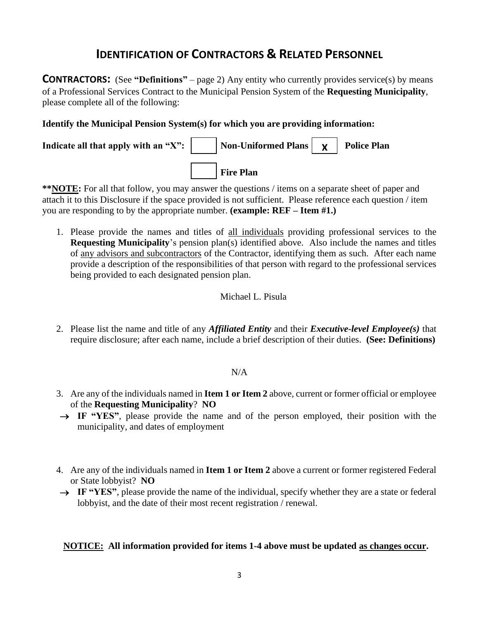## **IDENTIFICATION OF CONTRACTORS & RELATED PERSONNEL**

**CONTRACTORS:** (See **"Definitions"** – page 2) Any entity who currently provides service(s) by means of a Professional Services Contract to the Municipal Pension System of the **Requesting Municipality**, please complete all of the following:

#### **Identify the Municipal Pension System(s) for which you are providing information:**



**\*\*NOTE:** For all that follow, you may answer the questions / items on a separate sheet of paper and attach it to this Disclosure if the space provided is not sufficient. Please reference each question / item you are responding to by the appropriate number. **(example: REF – Item #1.)**

1. Please provide the names and titles of all individuals providing professional services to the **Requesting Municipality**'s pension plan(s) identified above. Also include the names and titles of any advisors and subcontractors of the Contractor, identifying them as such. After each name provide a description of the responsibilities of that person with regard to the professional services being provided to each designated pension plan.

#### Michael L. Pisula

2. Please list the name and title of any *Affiliated Entity* and their *Executive-level Employee(s)* that require disclosure; after each name, include a brief description of their duties. **(See: Definitions)**

#### N/A

- 3. Are any of the individuals named in **Item 1 or Item 2** above, current or former official or employee of the **Requesting Municipality**? **NO**
- → **IF "YES"**, please provide the name and of the person employed, their position with the municipality, and dates of employment
- 4. Are any of the individuals named in **Item 1 or Item 2** above a current or former registered Federal or State lobbyist? **NO**
- → **IF "YES"**, please provide the name of the individual, specify whether they are a state or federal lobbyist, and the date of their most recent registration / renewal.

#### **NOTICE: All information provided for items 1-4 above must be updated as changes occur.**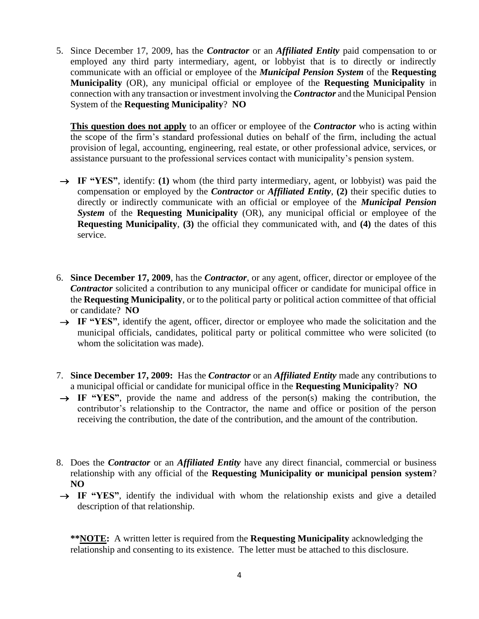5. Since December 17, 2009, has the *Contractor* or an *Affiliated Entity* paid compensation to or employed any third party intermediary, agent, or lobbyist that is to directly or indirectly communicate with an official or employee of the *Municipal Pension System* of the **Requesting Municipality** (OR), any municipal official or employee of the **Requesting Municipality** in connection with any transaction or investment involving the *Contractor* and the Municipal Pension System of the **Requesting Municipality**? **NO**

**This question does not apply** to an officer or employee of the *Contractor* who is acting within the scope of the firm's standard professional duties on behalf of the firm, including the actual provision of legal, accounting, engineering, real estate, or other professional advice, services, or assistance pursuant to the professional services contact with municipality's pension system.

- → **IF "YES"**, identify: **(1)** whom (the third party intermediary, agent, or lobbyist) was paid the compensation or employed by the *Contractor* or *Affiliated Entity*, **(2)** their specific duties to directly or indirectly communicate with an official or employee of the *Municipal Pension*  **System** of the **Requesting Municipality** (OR), any municipal official or employee of the **Requesting Municipality**, **(3)** the official they communicated with, and **(4)** the dates of this service.
- 6. **Since December 17, 2009**, has the *Contractor*, or any agent, officer, director or employee of the *Contractor* solicited a contribution to any municipal officer or candidate for municipal office in the **Requesting Municipality**, or to the political party or political action committee of that official or candidate? **NO**
- → IF "YES", identify the agent, officer, director or employee who made the solicitation and the municipal officials, candidates, political party or political committee who were solicited (to whom the solicitation was made).
- 7. **Since December 17, 2009:** Has the *Contractor* or an *Affiliated Entity* made any contributions to a municipal official or candidate for municipal office in the **Requesting Municipality**? **NO**
- $\rightarrow$  **IF "YES"**, provide the name and address of the person(s) making the contribution, the contributor's relationship to the Contractor, the name and office or position of the person receiving the contribution, the date of the contribution, and the amount of the contribution.
- 8. Does the *Contractor* or an *Affiliated Entity* have any direct financial, commercial or business relationship with any official of the **Requesting Municipality or municipal pension system**? **NO**
- → IF "YES", identify the individual with whom the relationship exists and give a detailed description of that relationship.

**\*\*NOTE:** A written letter is required from the **Requesting Municipality** acknowledging the relationship and consenting to its existence. The letter must be attached to this disclosure.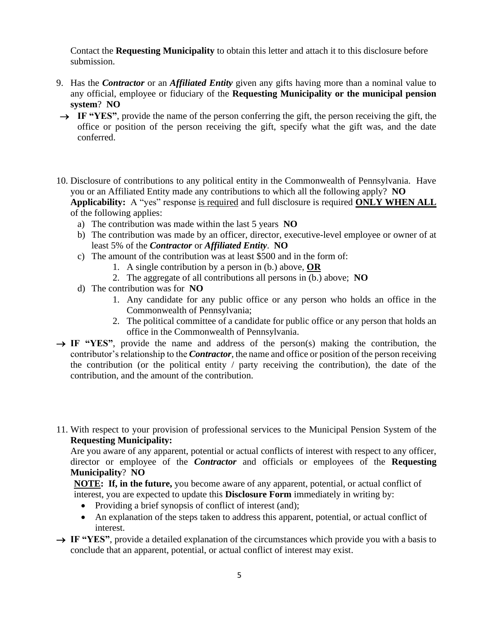Contact the **Requesting Municipality** to obtain this letter and attach it to this disclosure before submission.

- 9. Has the *Contractor* or an *Affiliated Entity* given any gifts having more than a nominal value to any official, employee or fiduciary of the **Requesting Municipality or the municipal pension system**? **NO**
- → **IF "YES"**, provide the name of the person conferring the gift, the person receiving the gift, the office or position of the person receiving the gift, specify what the gift was, and the date conferred.
- 10. Disclosure of contributions to any political entity in the Commonwealth of Pennsylvania. Have you or an Affiliated Entity made any contributions to which all the following apply? **NO Applicability:** A "yes" response is required and full disclosure is required **ONLY WHEN ALL** of the following applies:
	- a) The contribution was made within the last 5 years **NO**
	- b) The contribution was made by an officer, director, executive-level employee or owner of at least 5% of the *Contractor* or *Affiliated Entity*. **NO**
	- c) The amount of the contribution was at least \$500 and in the form of:
		- 1. A single contribution by a person in (b.) above, **OR**
		- 2. The aggregate of all contributions all persons in (b.) above; **NO**
	- d) The contribution was for **NO**
		- 1. Any candidate for any public office or any person who holds an office in the Commonwealth of Pennsylvania;
		- 2. The political committee of a candidate for public office or any person that holds an office in the Commonwealth of Pennsylvania.
- $\rightarrow$  **IF "YES"**, provide the name and address of the person(s) making the contribution, the contributor's relationship to the *Contractor*, the name and office or position of the person receiving the contribution (or the political entity / party receiving the contribution), the date of the contribution, and the amount of the contribution.
- 11. With respect to your provision of professional services to the Municipal Pension System of the **Requesting Municipality:**

Are you aware of any apparent, potential or actual conflicts of interest with respect to any officer, director or employee of the *Contractor* and officials or employees of the **Requesting Municipality**? **NO**

**NOTE: If, in the future,** you become aware of any apparent, potential, or actual conflict of interest, you are expected to update this **Disclosure Form** immediately in writing by:

- Providing a brief synopsis of conflict of interest (and);
- An explanation of the steps taken to address this apparent, potential, or actual conflict of interest.
- → **IF "YES"**, provide a detailed explanation of the circumstances which provide you with a basis to conclude that an apparent, potential, or actual conflict of interest may exist.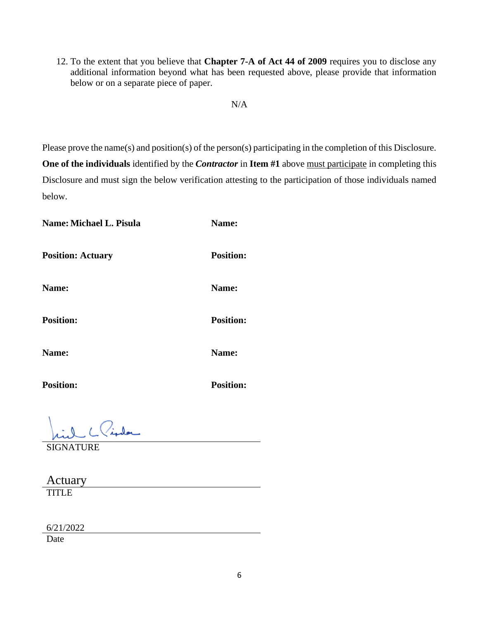12. To the extent that you believe that **Chapter 7-A of Act 44 of 2009** requires you to disclose any additional information beyond what has been requested above, please provide that information below or on a separate piece of paper.

#### N/A

Please prove the name(s) and position(s) of the person(s) participating in the completion of this Disclosure. **One of the individuals** identified by the *Contractor* in **Item #1** above must participate in completing this Disclosure and must sign the below verification attesting to the participation of those individuals named below.

**Name:** Michael L. Pisula **Name:** Name: **Position: Actuary Position: Name: Name: Position: Position: Name: Name: Position: Position:**

SIGNATURE

Actuary TITLE

6/21/2022

Date